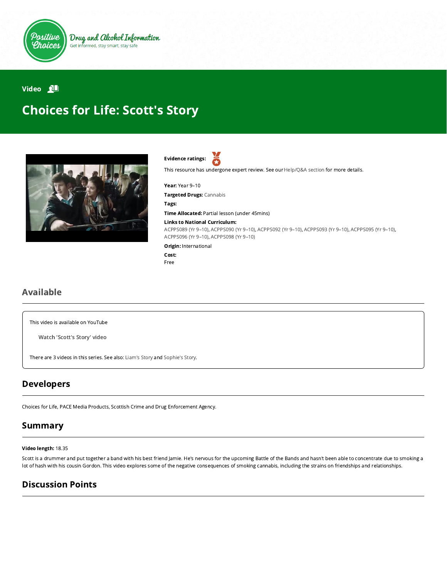

Drug and Alcohol Information Get informed, stay smart, stay safe

### Video **All**

# Choices for Life: Scott's Story



Evidence ratings:

This resource has undergone expert review. See our [Help/Q&A section](https://positivechoices.org.au/help/questions-and-answers/) for more details.

Year: Year 9–10

Targeted Drugs: Cannabis

Tags:

Time Allocated: Partial lesson (under 45mins)

#### Links to National Curriculum:

[ACPPS089 \(Yr 9–10\),](http://www.australiancurriculum.edu.au/Curriculum/ContentDescription/ACPPS089) [ACPPS090 \(Yr 9–10\),](http://www.australiancurriculum.edu.au/Curriculum/ContentDescription/ACPPS090) [ACPPS092 \(Yr 9–10\),](http://www.australiancurriculum.edu.au/Curriculum/ContentDescription/ACPPS092) [ACPPS093 \(Yr 9–10\)](http://www.australiancurriculum.edu.au/Curriculum/ContentDescription/ACPPS093), [ACPPS095 \(Yr 9–10\)](http://www.australiancurriculum.edu.au/Curriculum/ContentDescription/ACPPS095), [ACPPS096 \(Yr 9–10\),](http://www.australiancurriculum.edu.au/Curriculum/ContentDescription/ACPPS096) [ACPPS098 \(Yr 9–10\)](http://www.australiancurriculum.edu.au/Curriculum/ContentDescription/ACPPS098)

Origin: International

Cost: Free

### Available

This video is available on YouTube

Watch ['Scott's](https://www.youtube.com/watch?v=pz0mGclaqGA) Story' video

There are 3 videos in this series. See also: [Liam's Story](https://positivechoices.org.au/students/choices-for-life-liams-story/) and [Sophie's Story.](https://positivechoices.org.au/students/choices-for-life-sophies-story/)

### Developers

Choices for Life, PACE Media Products, Scottish Crime and Drug Enforcement Agency.

### Summary

#### Video length: 18.35

Scott is a drummer and put together a band with his best friend Jamie. He's nervous for the upcoming Battle of the Bands and hasn't been able to concentrate due to smoking a lot of hash with his cousin Gordon. This video explores some of the negative consequences of smoking cannabis, including the strains on friendships and relationships.

### Discussion Points